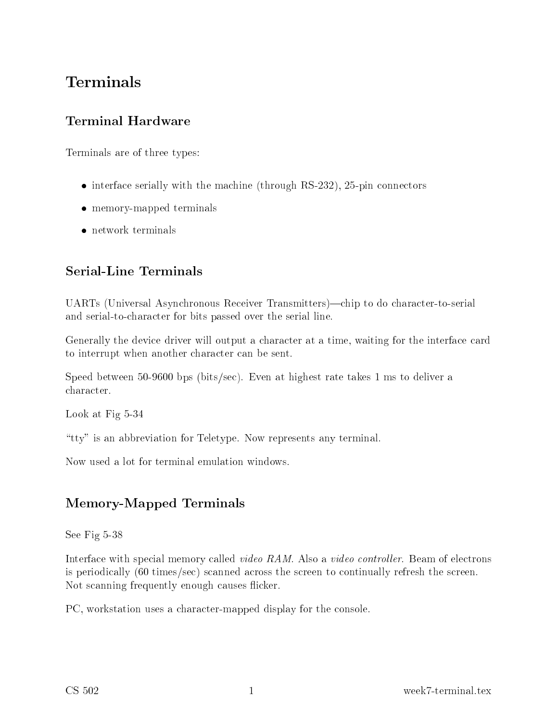# Terminals

## **Terminal Hardware**

Terminals are of three types:

- interface serially with the machine (through  $RS-232$ ), 25-pin connectors
- memory-mapped terminals
- network terminals

## **Serial-Line Terminals**

UARTs (Universal Asynchronous Receiver Transmitters)—chip to do character-to-serial and serial-tohara
ter for bits passed over the serial line.

Generally the device driver will output a character at a time, waiting for the interface card to interrupt when another character can be sent.

Speed between 50-9600 bps (bits/se
). Even at highest rate takes 1 ms to deliver a hara
ter.

Look at Fig 5-34

"tty" is an abbreviation for Teletype. Now represents any terminal.

Now used a lot for terminal emulation windows.

## Memory-Mapped Terminals

See Fig 5-38

Interface with special memory called *video RAM*. Also a *video controller*. Beam of electrons is periodi
ally (60 times/se
) s
anned a
ross the s
reen to ontinually refresh the s
reen. Not scanning frequently enough causes flicker.

PC, workstation uses a character-mapped display for the console.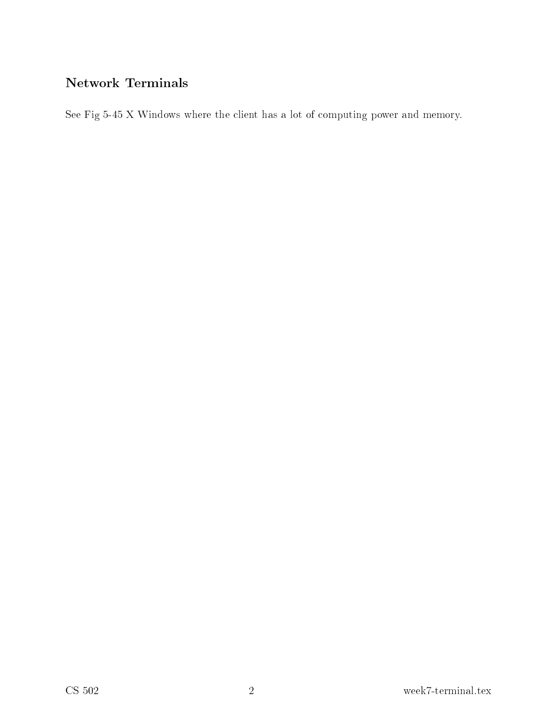See Fig 5-45 X Windows where the client has a lot of computing power and memory.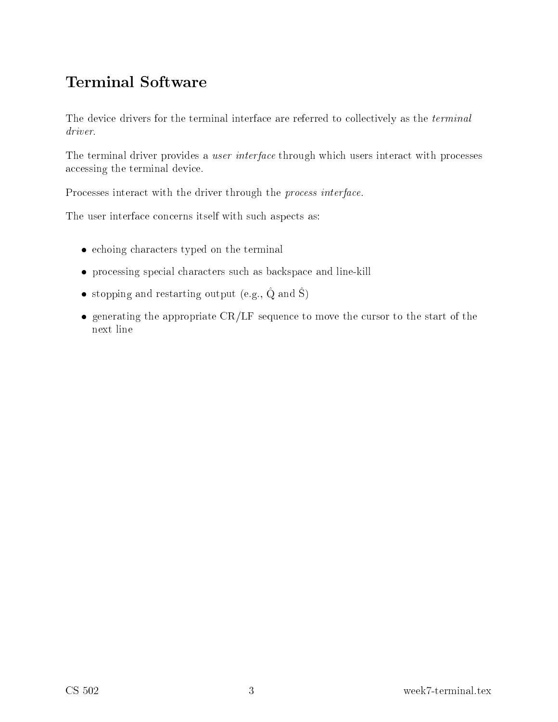# Terminal Software

The device drivers for the terminal interface are referred to collectively as the *terminal* driver.

The terminal driver provides a *user interface* through which users interact with processes accessing the terminal device.

Processes interact with the driver through the *process interface*.

The user interface concerns itself with such aspects as:

- echoing characters typed on the terminal
- processing special characters such as backspace and line-kill
- $\bullet$  stopping and restarting output (e.g.,  $\circ$  and  $\circ$ )
- $\bullet$  generating the appropriate CR/LF sequence to move the cursor to the start of the next line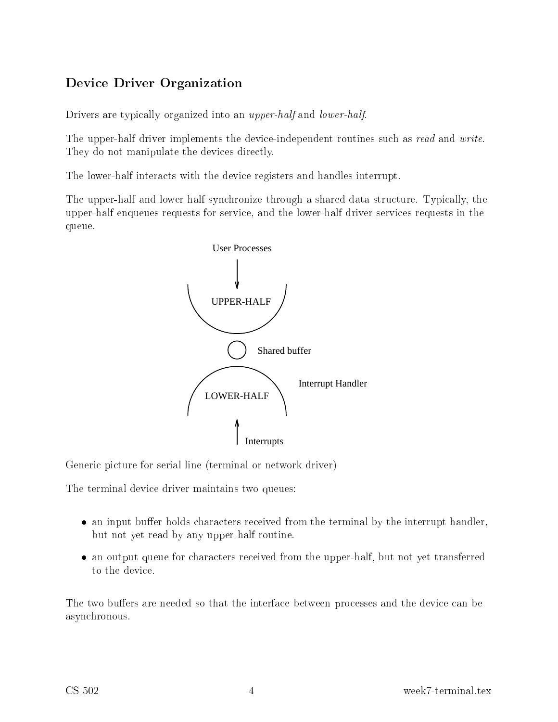## e driver organization of the contract of the contract of the contract of the contract of the contract of the c

Drivers are typically organized into an *upper-half* and *lower-half*.

The upper-half driver implements the device-independent routines such as *read* and *write*. They do not manipulate the devices directly.

The lower-half interacts with the device registers and handles interrupt.

The upper-half and lower half synchronize through a shared data structure. Typically, the upper-half enqueues requests for servi
e, and the lower-half driver servi
es requests in the queue.



Generic picture for serial line (terminal or network driver)

The terminal devi
e driver maintains two queues:

- $\bullet$  an input buffer holds characters received from the terminal by the interrupt handler, but not yet read by any upper half routine.
- an output queue for characters received from the upper-half, but not yet transferred to the device.

The two buffers are needed so that the interface between processes and the device can be asyn
hronous.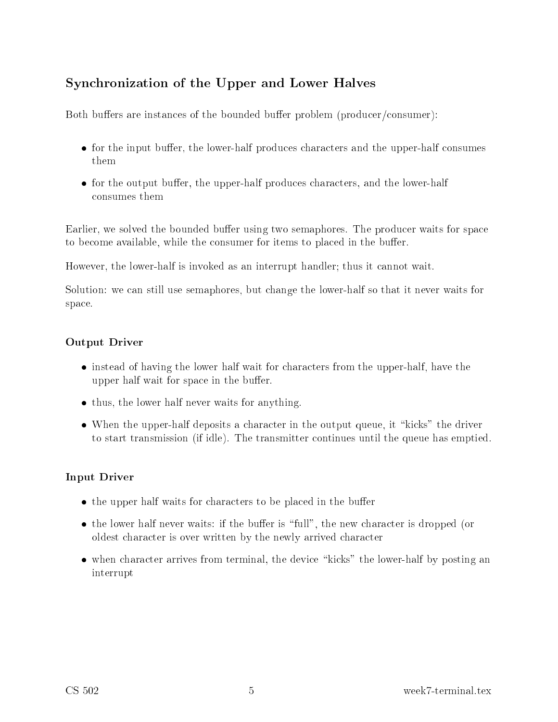#### Syn
hronization of the Upper and Lower Halves

Both buffers are instances of the bounded buffer problem (producer/consumer):

- for the input buffer, the lower-half produces characters and the upper-half consumes them
- for the output buffer, the upper-half produces characters, and the lower-half onsumes them

Earlier, we solved the bounded buffer using two semaphores. The producer waits for space to become available, while the consumer for items to placed in the buffer.

However, the lower-half is invoked as an interrupt handler; thus it annot wait.

Solution: we can still use semaphores, but change the lower-half so that it never waits for spa
e.

#### Output Driver

- instead of having the lower half wait for characters from the upper-half, have the upper half wait for space in the buffer.
- thus, the lower half never waits for anything.
- $\bullet$  When the upper-half deposits a character in the output queue, it "kicks" the driver to start transmission (if idle). The transmitter ontinues until the queue has emptied.

#### Input Driver

- the upper half waits for characters to be placed in the buffer
- the lower half never waits: if the buffer is "full", the new character is dropped (or oldest hara
ter is over written by the newly arrived hara
ter
- $\bullet$  when character arrives from terminal, the device "kicks" the lower-half by posting an interrupt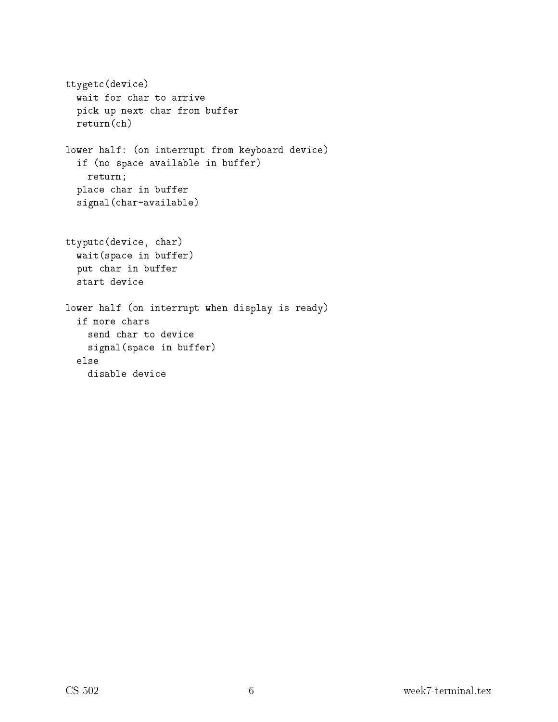```
ttyget
(devi
e)pieces in processes and buffer and an operational contracts of the contracts of the contracts of the contracts
     return(
h)
lower half: (on interrupt from keyboard devi
e)
     e available in buffer and space in the set of \lambdareturn;
     pla
e 
har in buffer
     signalism in the state of \lambdattyput
(devi
e, 
har)
     waited in buffer of the internal part of the internal part of the internal part of the internal part of the in
     put 
har in buffer
lower half (on interrupt when display is ready)
     if more 
hars
         e in general in buffer in buffer of the second second in buffer of the second second in the second in the second in the second in the second in the second in the second in the second in the second in the second in the seco
```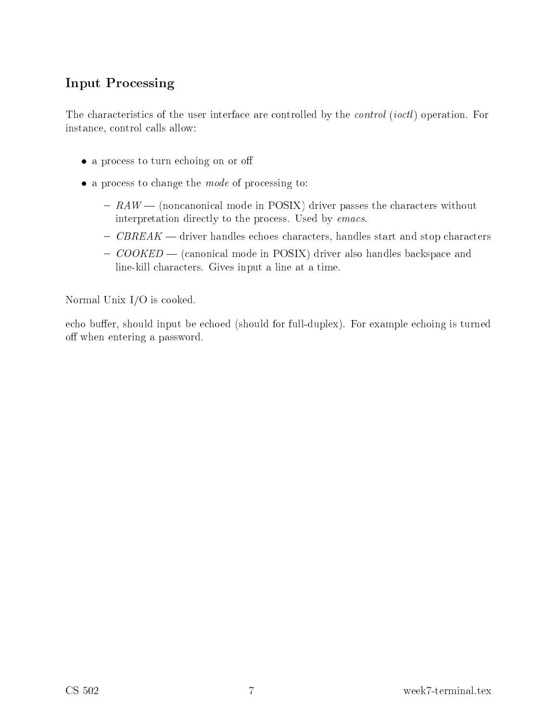#### Input Pro
essing

The characteristics of the user interface are controlled by the *control* (*ioctl*) operation. For instance, control calls allow:

- a process to turn echoing on or off
- $\bullet$  a process to change the *mode* of processing to:
	- $-$  RAW (noncanonical mode in POSIX) driver passes the characters without interpretation directly to the process. Used by *emacs*.
	- CBREAK driver handles echoes characters, handles start and stop characters
	- COOKED (canonical mode in POSIX) driver also handles backspace and line-kill characters. Gives input a line at a time.

Normal Unix I/O is ooked.

echo buffer, should input be echoed (should for full-duplex). For example echoing is turned off when entering a password.